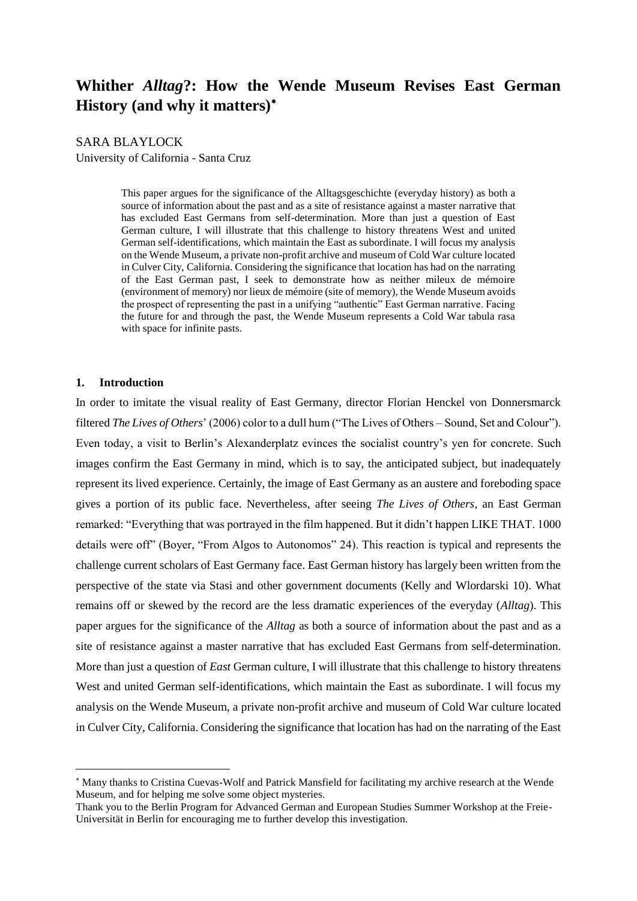# **Whither** *Alltag***?: How the Wende Museum Revises East German History (and why it matters)**

# SARA BLAYLOCK

University of California - Santa Cruz

This paper argues for the significance of the Alltagsgeschichte (everyday history) as both a source of information about the past and as a site of resistance against a master narrative that has excluded East Germans from self-determination. More than just a question of East German culture, I will illustrate that this challenge to history threatens West and united German self-identifications, which maintain the East as subordinate. I will focus my analysis on the Wende Museum, a private non-profit archive and museum of Cold War culture located in Culver City, California. Considering the significance that location has had on the narrating of the East German past, I seek to demonstrate how as neither mileux de mémoire (environment of memory) nor lieux de mémoire (site of memory), the Wende Museum avoids the prospect of representing the past in a unifying "authentic" East German narrative. Facing the future for and through the past, the Wende Museum represents a Cold War tabula rasa with space for infinite pasts.

# **1. Introduction**

 $\overline{a}$ 

In order to imitate the visual reality of East Germany, director Florian Henckel von Donnersmarck filtered *The Lives of Others*' (2006) color to a dull hum ("The Lives of Others – Sound, Set and Colour"). Even today, a visit to Berlin's Alexanderplatz evinces the socialist country's yen for concrete. Such images confirm the East Germany in mind, which is to say, the anticipated subject, but inadequately represent its lived experience. Certainly, the image of East Germany as an austere and foreboding space gives a portion of its public face. Nevertheless, after seeing *The Lives of Others*, an East German remarked: "Everything that was portrayed in the film happened. But it didn't happen LIKE THAT. 1000 details were off" (Boyer, "From Algos to Autonomos" 24). This reaction is typical and represents the challenge current scholars of East Germany face. East German history has largely been written from the perspective of the state via Stasi and other government documents (Kelly and Wlordarski 10). What remains off or skewed by the record are the less dramatic experiences of the everyday (*Alltag*). This paper argues for the significance of the *Alltag* as both a source of information about the past and as a site of resistance against a master narrative that has excluded East Germans from self-determination. More than just a question of *East* German culture, I will illustrate that this challenge to history threatens West and united German self-identifications, which maintain the East as subordinate. I will focus my analysis on the Wende Museum, a private non-profit archive and museum of Cold War culture located in Culver City, California. Considering the significance that location has had on the narrating of the East

Many thanks to Cristina Cuevas-Wolf and Patrick Mansfield for facilitating my archive research at the Wende Museum, and for helping me solve some object mysteries.

Thank you to the Berlin Program for Advanced German and European Studies Summer Workshop at the Freie-Universität in Berlin for encouraging me to further develop this investigation.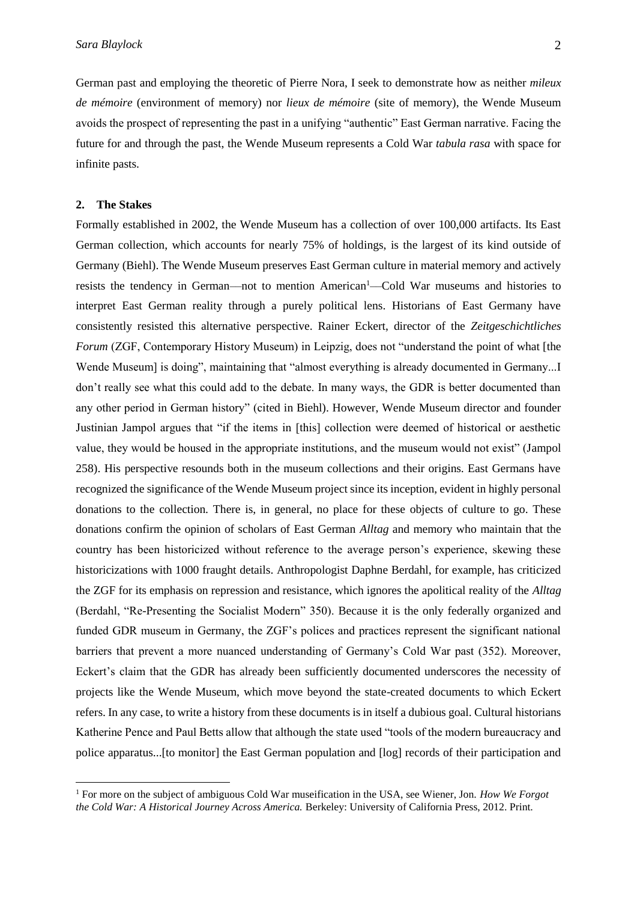German past and employing the theoretic of Pierre Nora, I seek to demonstrate how as neither *mileux de mémoire* (environment of memory) nor *lieux de mémoire* (site of memory), the Wende Museum avoids the prospect of representing the past in a unifying "authentic" East German narrative. Facing the future for and through the past, the Wende Museum represents a Cold War *tabula rasa* with space for infinite pasts.

# **2. The Stakes**

 $\overline{a}$ 

Formally established in 2002, the Wende Museum has a collection of over 100,000 artifacts. Its East German collection, which accounts for nearly 75% of holdings, is the largest of its kind outside of Germany (Biehl). The Wende Museum preserves East German culture in material memory and actively resists the tendency in German—not to mention American<sup>1</sup>—Cold War museums and histories to interpret East German reality through a purely political lens. Historians of East Germany have consistently resisted this alternative perspective. Rainer Eckert, director of the *Zeitgeschichtliches Forum* (ZGF, Contemporary History Museum) in Leipzig, does not "understand the point of what [the Wende Museum] is doing", maintaining that "almost everything is already documented in Germany...I don't really see what this could add to the debate. In many ways, the GDR is better documented than any other period in German history" (cited in Biehl). However, Wende Museum director and founder Justinian Jampol argues that "if the items in [this] collection were deemed of historical or aesthetic value, they would be housed in the appropriate institutions, and the museum would not exist" (Jampol 258). His perspective resounds both in the museum collections and their origins. East Germans have recognized the significance of the Wende Museum project since its inception, evident in highly personal donations to the collection. There is, in general, no place for these objects of culture to go. These donations confirm the opinion of scholars of East German *Alltag* and memory who maintain that the country has been historicized without reference to the average person's experience, skewing these historicizations with 1000 fraught details. Anthropologist Daphne Berdahl, for example, has criticized the ZGF for its emphasis on repression and resistance, which ignores the apolitical reality of the *Alltag* (Berdahl, "Re-Presenting the Socialist Modern" 350). Because it is the only federally organized and funded GDR museum in Germany, the ZGF's polices and practices represent the significant national barriers that prevent a more nuanced understanding of Germany's Cold War past (352). Moreover, Eckert's claim that the GDR has already been sufficiently documented underscores the necessity of projects like the Wende Museum, which move beyond the state-created documents to which Eckert refers. In any case, to write a history from these documents is in itself a dubious goal. Cultural historians Katherine Pence and Paul Betts allow that although the state used "tools of the modern bureaucracy and police apparatus...[to monitor] the East German population and [log] records of their participation and

<sup>1</sup> For more on the subject of ambiguous Cold War museification in the USA, see Wiener, Jon. *How We Forgot the Cold War: A Historical Journey Across America.* Berkeley: University of California Press, 2012. Print.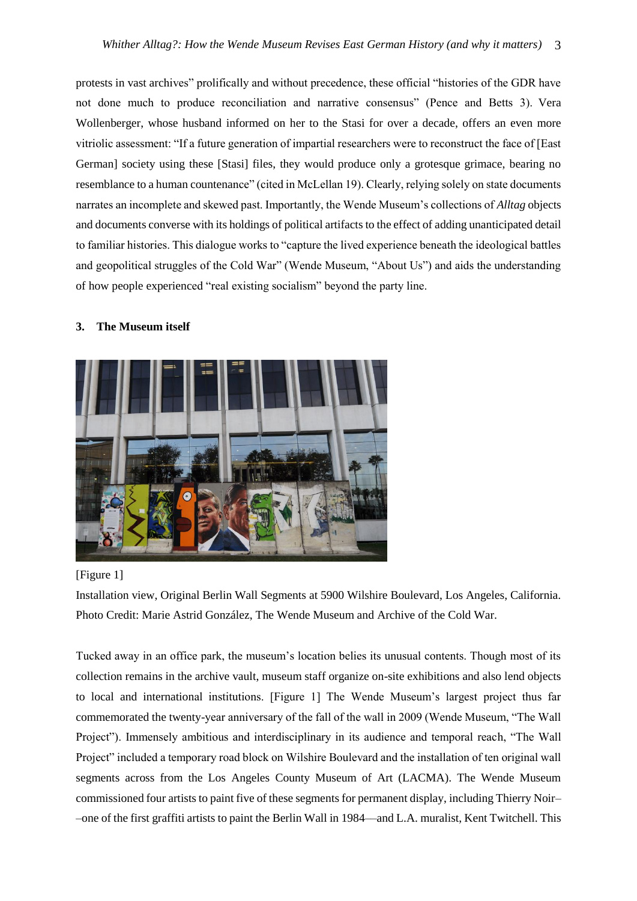protests in vast archives" prolifically and without precedence, these official "histories of the GDR have not done much to produce reconciliation and narrative consensus" (Pence and Betts 3). Vera Wollenberger, whose husband informed on her to the Stasi for over a decade, offers an even more vitriolic assessment: "If a future generation of impartial researchers were to reconstruct the face of [East German] society using these [Stasi] files, they would produce only a grotesque grimace, bearing no resemblance to a human countenance" (cited in McLellan 19). Clearly, relying solely on state documents narrates an incomplete and skewed past. Importantly, the Wende Museum's collections of *Alltag* objects and documents converse with its holdings of political artifacts to the effect of adding unanticipated detail to familiar histories. This dialogue works to "capture the lived experience beneath the ideological battles and geopolitical struggles of the Cold War" (Wende Museum, "About Us") and aids the understanding of how people experienced "real existing socialism" beyond the party line.

### **3. The Museum itself**



# [Figure 1]

Installation view, Original Berlin Wall Segments at 5900 Wilshire Boulevard, Los Angeles, California. Photo Credit: Marie Astrid González, The Wende Museum and Archive of the Cold War.

Tucked away in an office park, the museum's location belies its unusual contents. Though most of its collection remains in the archive vault, museum staff organize on-site exhibitions and also lend objects to local and international institutions. [Figure 1] The Wende Museum's largest project thus far commemorated the twenty-year anniversary of the fall of the wall in 2009 (Wende Museum, "The Wall Project"). Immensely ambitious and interdisciplinary in its audience and temporal reach, "The Wall Project" included a temporary road block on Wilshire Boulevard and the installation of ten original wall segments across from the Los Angeles County Museum of Art (LACMA). The Wende Museum commissioned four artists to paint five of these segments for permanent display, including Thierry Noir– –one of the first graffiti artists to paint the Berlin Wall in 1984––and L.A. muralist, Kent Twitchell. This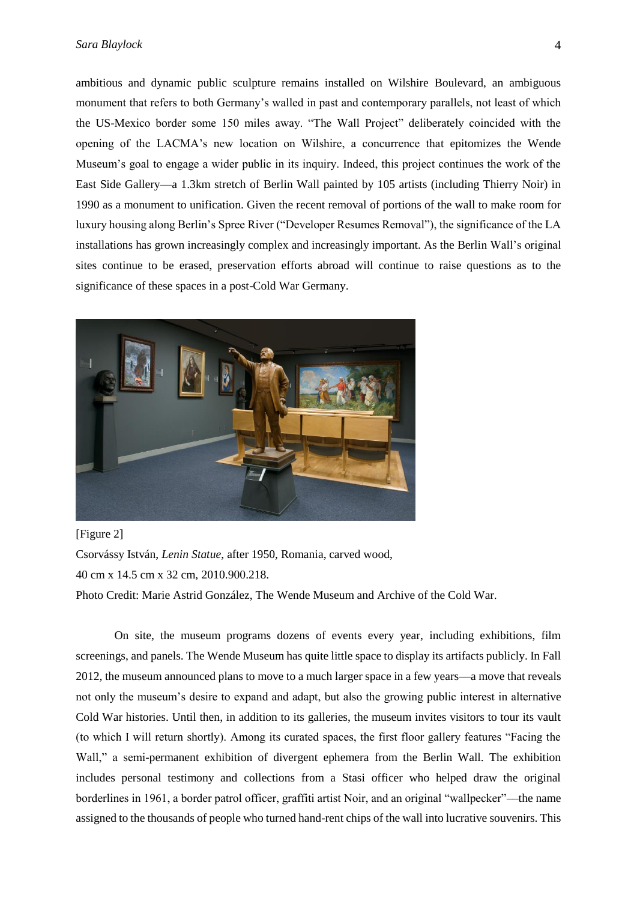### *Sara Blaylock* 4

ambitious and dynamic public sculpture remains installed on Wilshire Boulevard, an ambiguous monument that refers to both Germany's walled in past and contemporary parallels, not least of which the US-Mexico border some 150 miles away. "The Wall Project" deliberately coincided with the opening of the LACMA's new location on Wilshire, a concurrence that epitomizes the Wende Museum's goal to engage a wider public in its inquiry. Indeed, this project continues the work of the East Side Gallery––a 1.3km stretch of Berlin Wall painted by 105 artists (including Thierry Noir) in 1990 as a monument to unification. Given the recent removal of portions of the wall to make room for luxury housing along Berlin's Spree River ("Developer Resumes Removal"), the significance of the LA installations has grown increasingly complex and increasingly important. As the Berlin Wall's original sites continue to be erased, preservation efforts abroad will continue to raise questions as to the significance of these spaces in a post-Cold War Germany.



[Figure 2]

Csorvássy István, *Lenin Statue*, after 1950, Romania, carved wood, 40 cm x 14.5 cm x 32 cm, 2010.900.218.

Photo Credit: Marie Astrid González, The Wende Museum and Archive of the Cold War.

On site, the museum programs dozens of events every year, including exhibitions, film screenings, and panels. The Wende Museum has quite little space to display its artifacts publicly. In Fall 2012, the museum announced plans to move to a much larger space in a few years––a move that reveals not only the museum's desire to expand and adapt, but also the growing public interest in alternative Cold War histories. Until then, in addition to its galleries, the museum invites visitors to tour its vault (to which I will return shortly). Among its curated spaces, the first floor gallery features "Facing the Wall," a semi-permanent exhibition of divergent ephemera from the Berlin Wall. The exhibition includes personal testimony and collections from a Stasi officer who helped draw the original borderlines in 1961, a border patrol officer, graffiti artist Noir, and an original "wallpecker"––the name assigned to the thousands of people who turned hand-rent chips of the wall into lucrative souvenirs. This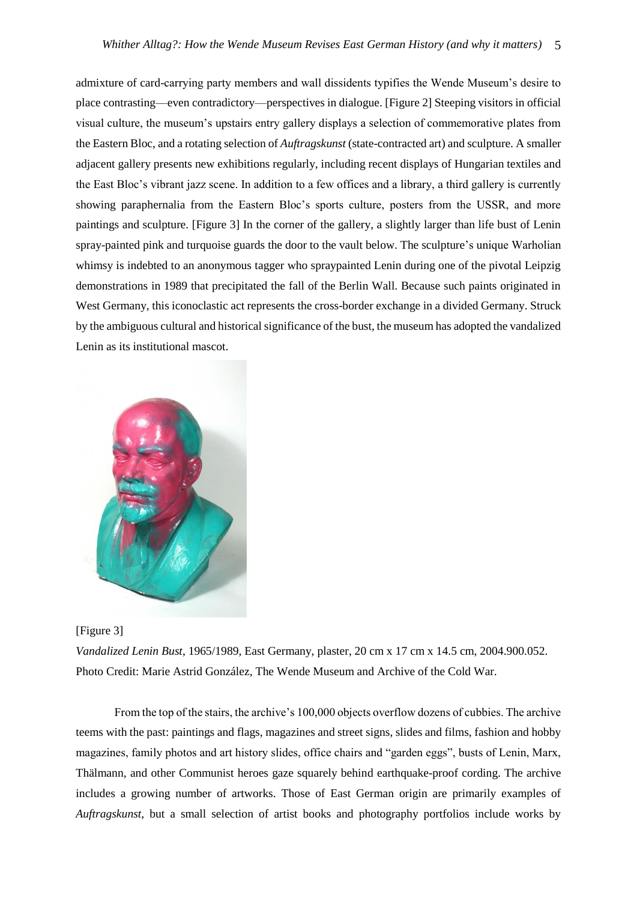admixture of card-carrying party members and wall dissidents typifies the Wende Museum's desire to place contrasting––even contradictory––perspectives in dialogue. [Figure 2] Steeping visitors in official visual culture, the museum's upstairs entry gallery displays a selection of commemorative plates from the Eastern Bloc, and a rotating selection of *Auftragskunst* (state-contracted art) and sculpture. A smaller adjacent gallery presents new exhibitions regularly, including recent displays of Hungarian textiles and the East Bloc's vibrant jazz scene. In addition to a few offices and a library, a third gallery is currently showing paraphernalia from the Eastern Bloc's sports culture, posters from the USSR, and more paintings and sculpture. [Figure 3] In the corner of the gallery, a slightly larger than life bust of Lenin spray-painted pink and turquoise guards the door to the vault below. The sculpture's unique Warholian whimsy is indebted to an anonymous tagger who spraypainted Lenin during one of the pivotal Leipzig demonstrations in 1989 that precipitated the fall of the Berlin Wall. Because such paints originated in West Germany, this iconoclastic act represents the cross-border exchange in a divided Germany. Struck by the ambiguous cultural and historical significance of the bust, the museum has adopted the vandalized Lenin as its institutional mascot.





*Vandalized Lenin Bust*, 1965/1989, East Germany, plaster, 20 cm x 17 cm x 14.5 cm, 2004.900.052. Photo Credit: Marie Astrid González, The Wende Museum and Archive of the Cold War.

From the top of the stairs, the archive's 100,000 objects overflow dozens of cubbies. The archive teems with the past: paintings and flags, magazines and street signs, slides and films, fashion and hobby magazines, family photos and art history slides, office chairs and "garden eggs", busts of Lenin, Marx, Thälmann, and other Communist heroes gaze squarely behind earthquake-proof cording. The archive includes a growing number of artworks. Those of East German origin are primarily examples of *Auftragskunst*, but a small selection of artist books and photography portfolios include works by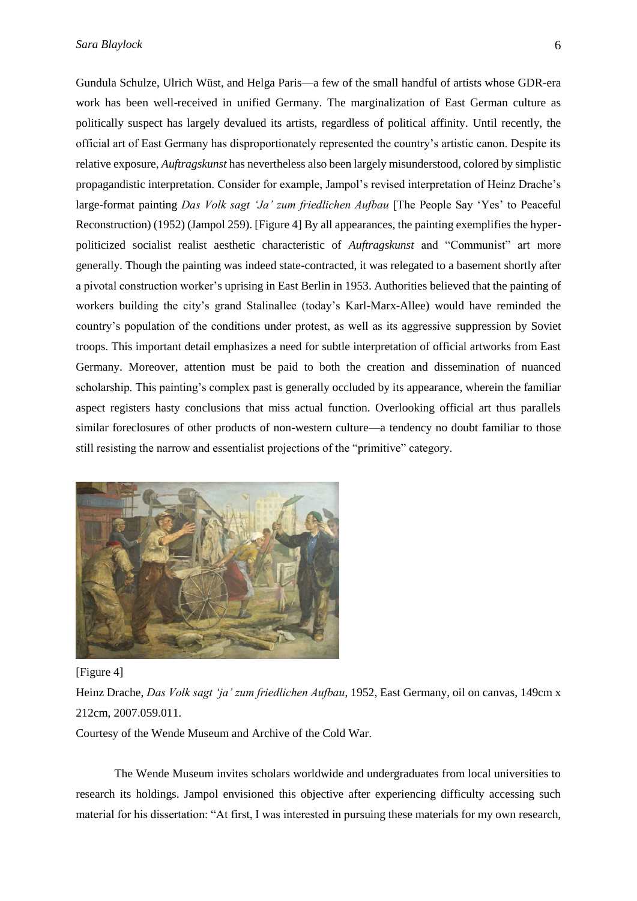Gundula Schulze, Ulrich Wüst, and Helga Paris––a few of the small handful of artists whose GDR-era work has been well-received in unified Germany. The marginalization of East German culture as politically suspect has largely devalued its artists, regardless of political affinity. Until recently, the official art of East Germany has disproportionately represented the country's artistic canon. Despite its relative exposure, *Auftragskunst* has nevertheless also been largely misunderstood, colored by simplistic propagandistic interpretation. Consider for example, Jampol's revised interpretation of Heinz Drache's large-format painting *Das Volk sagt 'Ja' zum friedlichen Aufbau* [The People Say 'Yes' to Peaceful Reconstruction) (1952) (Jampol 259). [Figure 4] By all appearances, the painting exemplifies the hyperpoliticized socialist realist aesthetic characteristic of *Auftragskunst* and "Communist" art more generally. Though the painting was indeed state-contracted, it was relegated to a basement shortly after a pivotal construction worker's uprising in East Berlin in 1953. Authorities believed that the painting of workers building the city's grand Stalinallee (today's Karl-Marx-Allee) would have reminded the country's population of the conditions under protest, as well as its aggressive suppression by Soviet troops. This important detail emphasizes a need for subtle interpretation of official artworks from East Germany. Moreover, attention must be paid to both the creation and dissemination of nuanced scholarship. This painting's complex past is generally occluded by its appearance, wherein the familiar aspect registers hasty conclusions that miss actual function. Overlooking official art thus parallels similar foreclosures of other products of non-western culture—a tendency no doubt familiar to those still resisting the narrow and essentialist projections of the "primitive" category.



#### [Figure 4]

Heinz Drache, *Das Volk sagt 'ja' zum friedlichen Aufbau*, 1952, East Germany, oil on canvas, 149cm x 212cm, 2007.059.011.

Courtesy of the Wende Museum and Archive of the Cold War.

The Wende Museum invites scholars worldwide and undergraduates from local universities to research its holdings. Jampol envisioned this objective after experiencing difficulty accessing such material for his dissertation: "At first, I was interested in pursuing these materials for my own research,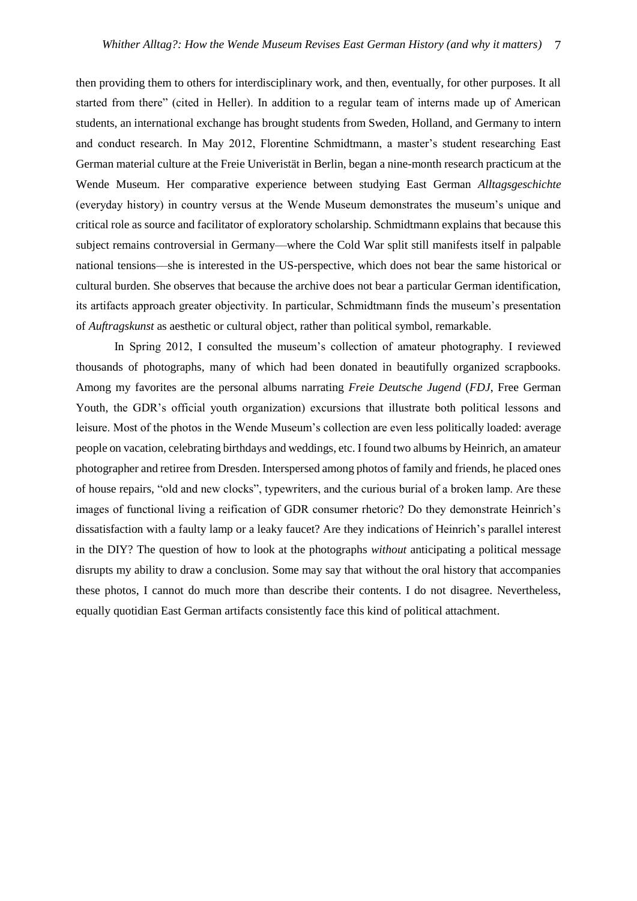then providing them to others for interdisciplinary work, and then, eventually, for other purposes. It all started from there" (cited in Heller). In addition to a regular team of interns made up of American students, an international exchange has brought students from Sweden, Holland, and Germany to intern and conduct research. In May 2012, Florentine Schmidtmann, a master's student researching East German material culture at the Freie Univeristät in Berlin, began a nine-month research practicum at the Wende Museum. Her comparative experience between studying East German *Alltagsgeschichte* (everyday history) in country versus at the Wende Museum demonstrates the museum's unique and critical role as source and facilitator of exploratory scholarship. Schmidtmann explains that because this subject remains controversial in Germany––where the Cold War split still manifests itself in palpable national tensions––she is interested in the US-perspective, which does not bear the same historical or cultural burden. She observes that because the archive does not bear a particular German identification, its artifacts approach greater objectivity. In particular, Schmidtmann finds the museum's presentation of *Auftragskunst* as aesthetic or cultural object, rather than political symbol, remarkable.

In Spring 2012, I consulted the museum's collection of amateur photography. I reviewed thousands of photographs, many of which had been donated in beautifully organized scrapbooks. Among my favorites are the personal albums narrating *Freie Deutsche Jugend* (*FDJ*, Free German Youth, the GDR's official youth organization) excursions that illustrate both political lessons and leisure. Most of the photos in the Wende Museum's collection are even less politically loaded: average people on vacation, celebrating birthdays and weddings, etc. I found two albums by Heinrich, an amateur photographer and retiree from Dresden. Interspersed among photos of family and friends, he placed ones of house repairs, "old and new clocks", typewriters, and the curious burial of a broken lamp. Are these images of functional living a reification of GDR consumer rhetoric? Do they demonstrate Heinrich's dissatisfaction with a faulty lamp or a leaky faucet? Are they indications of Heinrich's parallel interest in the DIY? The question of how to look at the photographs *without* anticipating a political message disrupts my ability to draw a conclusion. Some may say that without the oral history that accompanies these photos, I cannot do much more than describe their contents. I do not disagree. Nevertheless, equally quotidian East German artifacts consistently face this kind of political attachment.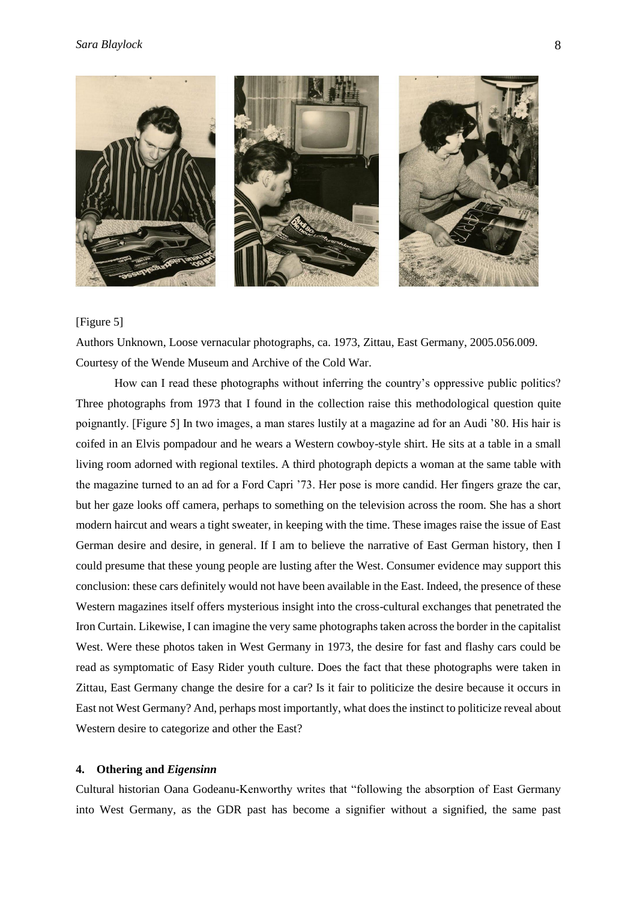

# [Figure 5]

Authors Unknown, Loose vernacular photographs, ca. 1973, Zittau, East Germany, 2005.056.009. Courtesy of the Wende Museum and Archive of the Cold War.

How can I read these photographs without inferring the country's oppressive public politics? Three photographs from 1973 that I found in the collection raise this methodological question quite poignantly. [Figure 5] In two images, a man stares lustily at a magazine ad for an Audi '80. His hair is coifed in an Elvis pompadour and he wears a Western cowboy-style shirt. He sits at a table in a small living room adorned with regional textiles. A third photograph depicts a woman at the same table with the magazine turned to an ad for a Ford Capri '73. Her pose is more candid. Her fingers graze the car, but her gaze looks off camera, perhaps to something on the television across the room. She has a short modern haircut and wears a tight sweater, in keeping with the time. These images raise the issue of East German desire and desire, in general. If I am to believe the narrative of East German history, then I could presume that these young people are lusting after the West. Consumer evidence may support this conclusion: these cars definitely would not have been available in the East. Indeed, the presence of these Western magazines itself offers mysterious insight into the cross-cultural exchanges that penetrated the Iron Curtain. Likewise, I can imagine the very same photographs taken across the border in the capitalist West. Were these photos taken in West Germany in 1973, the desire for fast and flashy cars could be read as symptomatic of Easy Rider youth culture. Does the fact that these photographs were taken in Zittau, East Germany change the desire for a car? Is it fair to politicize the desire because it occurs in East not West Germany? And, perhaps most importantly, what does the instinct to politicize reveal about Western desire to categorize and other the East?

# **4. Othering and** *Eigensinn*

Cultural historian Oana Godeanu-Kenworthy writes that "following the absorption of East Germany into West Germany, as the GDR past has become a signifier without a signified, the same past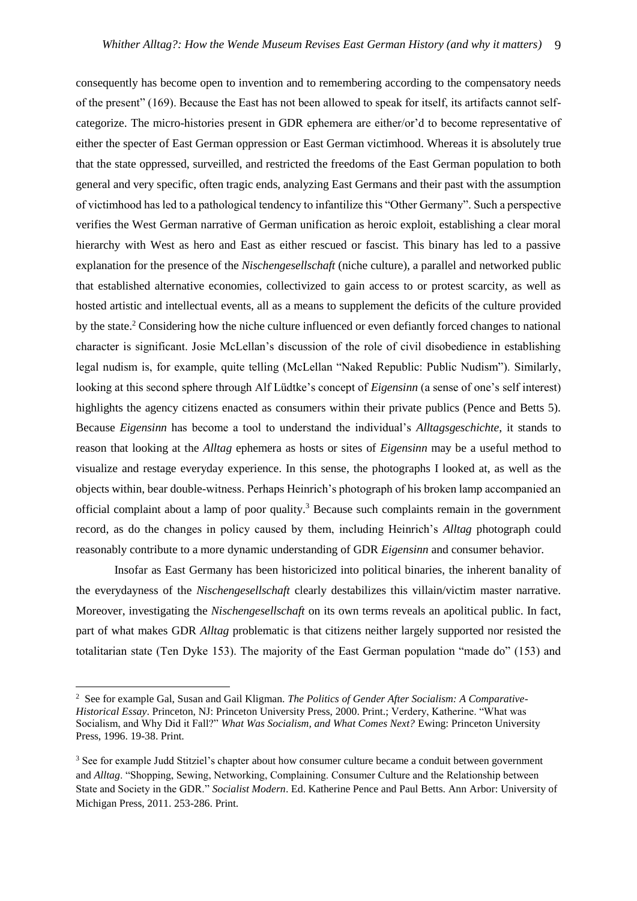consequently has become open to invention and to remembering according to the compensatory needs of the present" (169). Because the East has not been allowed to speak for itself, its artifacts cannot selfcategorize. The micro-histories present in GDR ephemera are either/or'd to become representative of either the specter of East German oppression or East German victimhood. Whereas it is absolutely true that the state oppressed, surveilled, and restricted the freedoms of the East German population to both general and very specific, often tragic ends, analyzing East Germans and their past with the assumption of victimhood has led to a pathological tendency to infantilize this "Other Germany". Such a perspective verifies the West German narrative of German unification as heroic exploit, establishing a clear moral hierarchy with West as hero and East as either rescued or fascist. This binary has led to a passive explanation for the presence of the *Nischengesellschaft* (niche culture), a parallel and networked public that established alternative economies, collectivized to gain access to or protest scarcity, as well as hosted artistic and intellectual events, all as a means to supplement the deficits of the culture provided by the state.<sup>2</sup> Considering how the niche culture influenced or even defiantly forced changes to national character is significant. Josie McLellan's discussion of the role of civil disobedience in establishing legal nudism is, for example, quite telling (McLellan "Naked Republic: Public Nudism"). Similarly, looking at this second sphere through Alf Lüdtke's concept of *Eigensinn* (a sense of one's self interest) highlights the agency citizens enacted as consumers within their private publics (Pence and Betts 5). Because *Eigensinn* has become a tool to understand the individual's *Alltagsgeschichte*, it stands to reason that looking at the *Alltag* ephemera as hosts or sites of *Eigensinn* may be a useful method to visualize and restage everyday experience. In this sense, the photographs I looked at, as well as the objects within, bear double-witness. Perhaps Heinrich's photograph of his broken lamp accompanied an official complaint about a lamp of poor quality.<sup>3</sup> Because such complaints remain in the government record, as do the changes in policy caused by them, including Heinrich's *Alltag* photograph could reasonably contribute to a more dynamic understanding of GDR *Eigensinn* and consumer behavior.

Insofar as East Germany has been historicized into political binaries, the inherent banality of the everydayness of the *Nischengesellschaft* clearly destabilizes this villain/victim master narrative. Moreover, investigating the *Nischengesellschaft* on its own terms reveals an apolitical public. In fact, part of what makes GDR *Alltag* problematic is that citizens neither largely supported nor resisted the totalitarian state (Ten Dyke 153). The majority of the East German population "made do" (153) and

 $\overline{a}$ 

<sup>2</sup> See for example Gal, Susan and Gail Kligman. *The Politics of Gender After Socialism: A Comparative-Historical Essay*. Princeton, NJ: Princeton University Press, 2000. Print.; Verdery, Katherine. "What was Socialism, and Why Did it Fall?" *What Was Socialism, and What Comes Next?* Ewing: Princeton University Press, 1996. 19-38. Print.

<sup>3</sup> See for example Judd Stitziel's chapter about how consumer culture became a conduit between government and *Alltag*. "Shopping, Sewing, Networking, Complaining. Consumer Culture and the Relationship between State and Society in the GDR." *Socialist Modern*. Ed. Katherine Pence and Paul Betts. Ann Arbor: University of Michigan Press, 2011. 253-286. Print.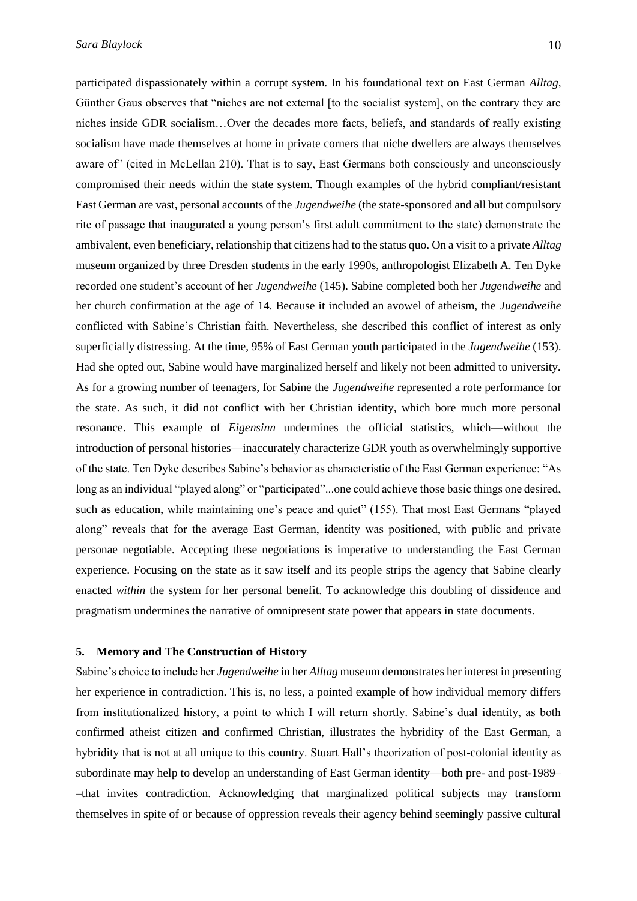participated dispassionately within a corrupt system. In his foundational text on East German *Alltag*, Günther Gaus observes that "niches are not external [to the socialist system], on the contrary they are niches inside GDR socialism…Over the decades more facts, beliefs, and standards of really existing socialism have made themselves at home in private corners that niche dwellers are always themselves aware of" (cited in McLellan 210). That is to say, East Germans both consciously and unconsciously compromised their needs within the state system. Though examples of the hybrid compliant/resistant East German are vast, personal accounts of the *Jugendweihe* (the state-sponsored and all but compulsory rite of passage that inaugurated a young person's first adult commitment to the state) demonstrate the ambivalent, even beneficiary, relationship that citizens had to the status quo. On a visit to a private *Alltag* museum organized by three Dresden students in the early 1990s, anthropologist Elizabeth A. Ten Dyke recorded one student's account of her *Jugendweihe* (145). Sabine completed both her *Jugendweihe* and her church confirmation at the age of 14. Because it included an avowel of atheism, the *Jugendweihe* conflicted with Sabine's Christian faith. Nevertheless, she described this conflict of interest as only superficially distressing. At the time, 95% of East German youth participated in the *Jugendweihe* (153). Had she opted out, Sabine would have marginalized herself and likely not been admitted to university. As for a growing number of teenagers, for Sabine the *Jugendweihe* represented a rote performance for the state. As such, it did not conflict with her Christian identity, which bore much more personal resonance. This example of *Eigensinn* undermines the official statistics, which––without the introduction of personal histories––inaccurately characterize GDR youth as overwhelmingly supportive of the state. Ten Dyke describes Sabine's behavior as characteristic of the East German experience: "As long as an individual "played along" or "participated"...one could achieve those basic things one desired, such as education, while maintaining one's peace and quiet" (155). That most East Germans "played along" reveals that for the average East German, identity was positioned, with public and private personae negotiable. Accepting these negotiations is imperative to understanding the East German experience. Focusing on the state as it saw itself and its people strips the agency that Sabine clearly enacted *within* the system for her personal benefit. To acknowledge this doubling of dissidence and pragmatism undermines the narrative of omnipresent state power that appears in state documents.

# **5. Memory and The Construction of History**

Sabine's choice to include her *Jugendweihe* in her *Alltag* museum demonstrates her interest in presenting her experience in contradiction. This is, no less, a pointed example of how individual memory differs from institutionalized history, a point to which I will return shortly. Sabine's dual identity, as both confirmed atheist citizen and confirmed Christian, illustrates the hybridity of the East German, a hybridity that is not at all unique to this country. Stuart Hall's theorization of post-colonial identity as subordinate may help to develop an understanding of East German identity––both pre- and post-1989– –that invites contradiction. Acknowledging that marginalized political subjects may transform themselves in spite of or because of oppression reveals their agency behind seemingly passive cultural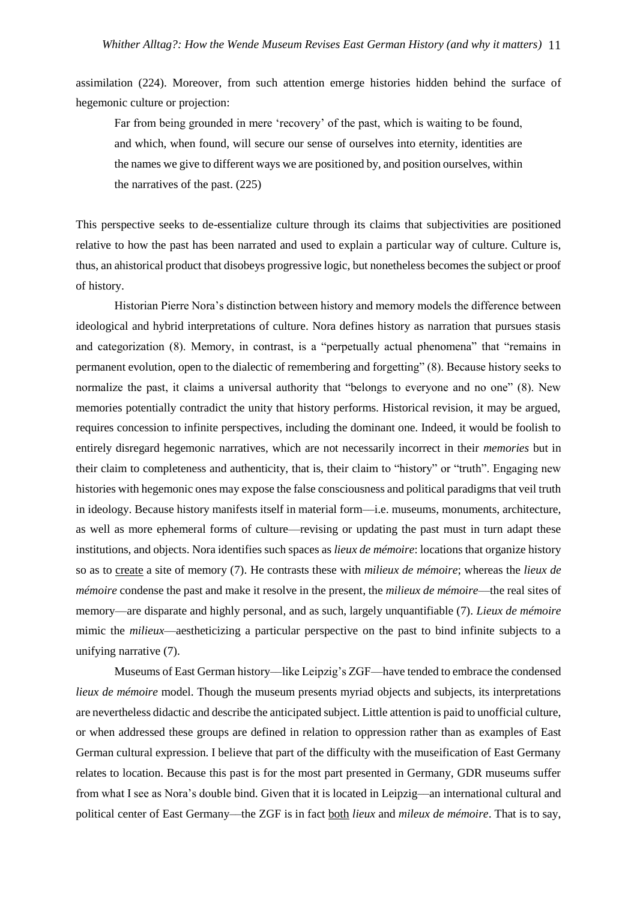assimilation (224). Moreover, from such attention emerge histories hidden behind the surface of hegemonic culture or projection:

Far from being grounded in mere 'recovery' of the past, which is waiting to be found, and which, when found, will secure our sense of ourselves into eternity, identities are the names we give to different ways we are positioned by, and position ourselves, within the narratives of the past. (225)

This perspective seeks to de-essentialize culture through its claims that subjectivities are positioned relative to how the past has been narrated and used to explain a particular way of culture. Culture is, thus, an ahistorical product that disobeys progressive logic, but nonetheless becomes the subject or proof of history.

Historian Pierre Nora's distinction between history and memory models the difference between ideological and hybrid interpretations of culture. Nora defines history as narration that pursues stasis and categorization (8). Memory, in contrast, is a "perpetually actual phenomena" that "remains in permanent evolution, open to the dialectic of remembering and forgetting" (8). Because history seeks to normalize the past, it claims a universal authority that "belongs to everyone and no one" (8). New memories potentially contradict the unity that history performs. Historical revision, it may be argued, requires concession to infinite perspectives, including the dominant one. Indeed, it would be foolish to entirely disregard hegemonic narratives, which are not necessarily incorrect in their *memories* but in their claim to completeness and authenticity, that is, their claim to "history" or "truth". Engaging new histories with hegemonic ones may expose the false consciousness and political paradigms that veil truth in ideology. Because history manifests itself in material form—i.e. museums, monuments, architecture, as well as more ephemeral forms of culture––revising or updating the past must in turn adapt these institutions, and objects. Nora identifies such spaces as *lieux de mémoire*: locations that organize history so as to create a site of memory (7). He contrasts these with *milieux de mémoire*; whereas the *lieux de mémoire* condense the past and make it resolve in the present, the *milieux de mémoire*––the real sites of memory––are disparate and highly personal, and as such, largely unquantifiable (7). *Lieux de mémoire* mimic the *milieux*––aestheticizing a particular perspective on the past to bind infinite subjects to a unifying narrative (7).

Museums of East German history––like Leipzig's ZGF––have tended to embrace the condensed *lieux de mémoire* model. Though the museum presents myriad objects and subjects, its interpretations are nevertheless didactic and describe the anticipated subject. Little attention is paid to unofficial culture, or when addressed these groups are defined in relation to oppression rather than as examples of East German cultural expression. I believe that part of the difficulty with the museification of East Germany relates to location. Because this past is for the most part presented in Germany, GDR museums suffer from what I see as Nora's double bind. Given that it is located in Leipzig––an international cultural and political center of East Germany––the ZGF is in fact both *lieux* and *mileux de mémoire*. That is to say,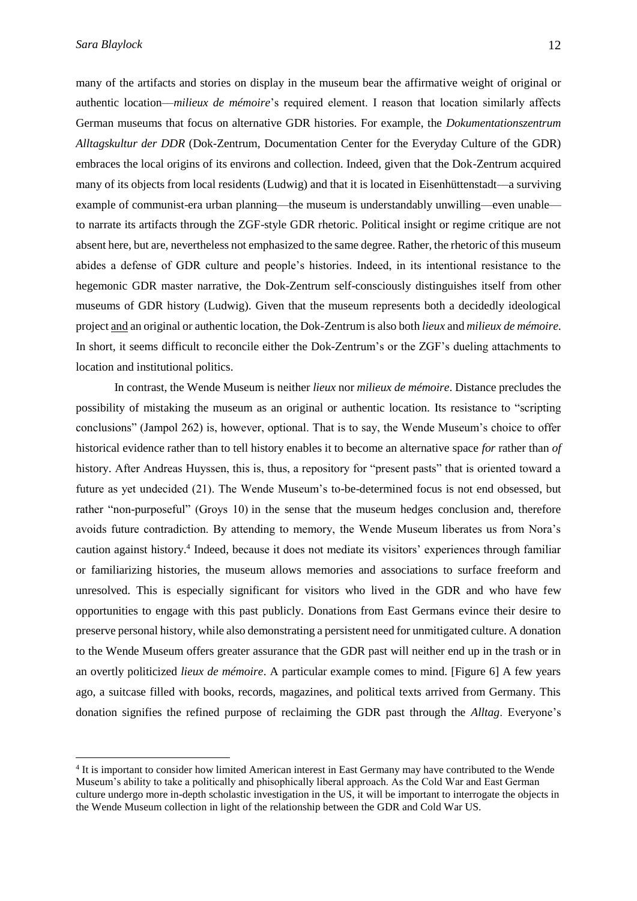many of the artifacts and stories on display in the museum bear the affirmative weight of original or authentic location––*milieux de mémoire*'s required element. I reason that location similarly affects German museums that focus on alternative GDR histories. For example, the *Dokumentationszentrum Alltagskultur der DDR* (Dok-Zentrum, Documentation Center for the Everyday Culture of the GDR) embraces the local origins of its environs and collection. Indeed, given that the Dok-Zentrum acquired many of its objects from local residents (Ludwig) and that it is located in Eisenhüttenstadt––a surviving example of communist-era urban planning—the museum is understandably unwilling—even unable to narrate its artifacts through the ZGF-style GDR rhetoric. Political insight or regime critique are not absent here, but are, nevertheless not emphasized to the same degree. Rather, the rhetoric of this museum abides a defense of GDR culture and people's histories. Indeed, in its intentional resistance to the hegemonic GDR master narrative, the Dok-Zentrum self-consciously distinguishes itself from other museums of GDR history (Ludwig). Given that the museum represents both a decidedly ideological project and an original or authentic location, the Dok-Zentrum is also both *lieux* and *milieux de mémoire*. In short, it seems difficult to reconcile either the Dok-Zentrum's or the ZGF's dueling attachments to location and institutional politics.

In contrast, the Wende Museum is neither *lieux* nor *milieux de mémoire*. Distance precludes the possibility of mistaking the museum as an original or authentic location. Its resistance to "scripting conclusions" (Jampol 262) is, however, optional. That is to say, the Wende Museum's choice to offer historical evidence rather than to tell history enables it to become an alternative space *for* rather than *of* history. After Andreas Huyssen, this is, thus, a repository for "present pasts" that is oriented toward a future as yet undecided (21). The Wende Museum's to-be-determined focus is not end obsessed, but rather "non-purposeful" (Groys 10) in the sense that the museum hedges conclusion and, therefore avoids future contradiction. By attending to memory, the Wende Museum liberates us from Nora's caution against history.<sup>4</sup> Indeed, because it does not mediate its visitors' experiences through familiar or familiarizing histories, the museum allows memories and associations to surface freeform and unresolved. This is especially significant for visitors who lived in the GDR and who have few opportunities to engage with this past publicly. Donations from East Germans evince their desire to preserve personal history, while also demonstrating a persistent need for unmitigated culture. A donation to the Wende Museum offers greater assurance that the GDR past will neither end up in the trash or in an overtly politicized *lieux de mémoire*. A particular example comes to mind. [Figure 6] A few years ago, a suitcase filled with books, records, magazines, and political texts arrived from Germany. This donation signifies the refined purpose of reclaiming the GDR past through the *Alltag*. Everyone's

<sup>&</sup>lt;sup>4</sup> It is important to consider how limited American interest in East Germany may have contributed to the Wende Museum's ability to take a politically and phisophically liberal approach. As the Cold War and East German culture undergo more in-depth scholastic investigation in the US, it will be important to interrogate the objects in the Wende Museum collection in light of the relationship between the GDR and Cold War US.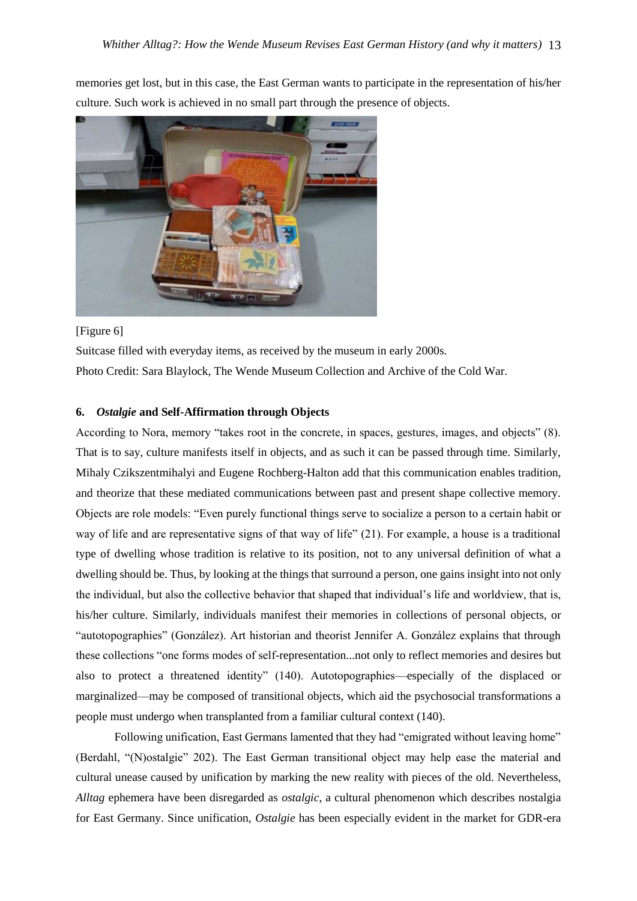memories get lost, but in this case, the East German wants to participate in the representation of his/her culture. Such work is achieved in no small part through the presence of objects.



# [Figure 6]

Suitcase filled with everyday items, as received by the museum in early 2000s. Photo Credit: Sara Blaylock, The Wende Museum Collection and Archive of the Cold War.

### **6.** *Ostalgie* **and Self-Affirmation through Objects**

According to Nora, memory "takes root in the concrete, in spaces, gestures, images, and objects" (8). That is to say, culture manifests itself in objects, and as such it can be passed through time. Similarly, Mihaly Czikszentmihalyi and Eugene Rochberg-Halton add that this communication enables tradition, and theorize that these mediated communications between past and present shape collective memory. Objects are role models: "Even purely functional things serve to socialize a person to a certain habit or way of life and are representative signs of that way of life" (21). For example, a house is a traditional type of dwelling whose tradition is relative to its position, not to any universal definition of what a dwelling should be. Thus, by looking at the things that surround a person, one gains insight into not only the individual, but also the collective behavior that shaped that individual's life and worldview, that is, his/her culture. Similarly, individuals manifest their memories in collections of personal objects, or "autotopographies" (González). Art historian and theorist Jennifer A. González explains that through these collections "one forms modes of self-representation...not only to reflect memories and desires but also to protect a threatened identity" (140). Autotopographies––especially of the displaced or marginalized––may be composed of transitional objects, which aid the psychosocial transformations a people must undergo when transplanted from a familiar cultural context (140).

Following unification, East Germans lamented that they had "emigrated without leaving home" (Berdahl, "(N)ostalgie" 202). The East German transitional object may help ease the material and cultural unease caused by unification by marking the new reality with pieces of the old. Nevertheless, *Alltag* ephemera have been disregarded as *ostalgic*, a cultural phenomenon which describes nostalgia for East Germany. Since unification, *Ostalgie* has been especially evident in the market for GDR-era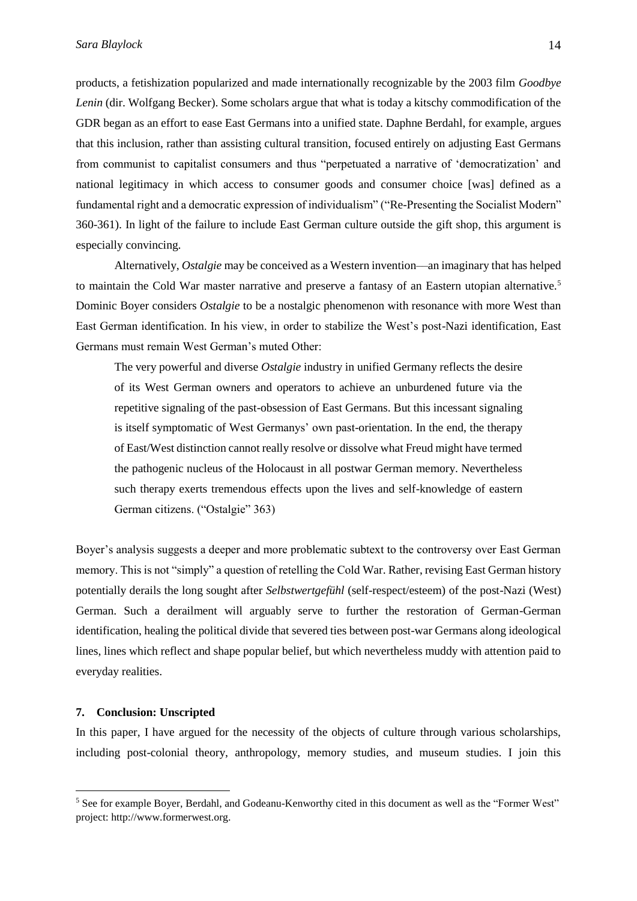products, a fetishization popularized and made internationally recognizable by the 2003 film *Goodbye Lenin* (dir. Wolfgang Becker). Some scholars argue that what is today a kitschy commodification of the GDR began as an effort to ease East Germans into a unified state. Daphne Berdahl, for example, argues that this inclusion, rather than assisting cultural transition, focused entirely on adjusting East Germans from communist to capitalist consumers and thus "perpetuated a narrative of 'democratization' and national legitimacy in which access to consumer goods and consumer choice [was] defined as a fundamental right and a democratic expression of individualism" ("Re-Presenting the Socialist Modern" 360-361). In light of the failure to include East German culture outside the gift shop, this argument is especially convincing.

Alternatively, *Ostalgie* may be conceived as a Western invention––an imaginary that has helped to maintain the Cold War master narrative and preserve a fantasy of an Eastern utopian alternative.<sup>5</sup> Dominic Boyer considers *Ostalgie* to be a nostalgic phenomenon with resonance with more West than East German identification. In his view, in order to stabilize the West's post-Nazi identification, East Germans must remain West German's muted Other:

The very powerful and diverse *Ostalgie* industry in unified Germany reflects the desire of its West German owners and operators to achieve an unburdened future via the repetitive signaling of the past-obsession of East Germans. But this incessant signaling is itself symptomatic of West Germanys' own past-orientation. In the end, the therapy of East/West distinction cannot really resolve or dissolve what Freud might have termed the pathogenic nucleus of the Holocaust in all postwar German memory. Nevertheless such therapy exerts tremendous effects upon the lives and self-knowledge of eastern German citizens. ("Ostalgie" 363)

Boyer's analysis suggests a deeper and more problematic subtext to the controversy over East German memory. This is not "simply" a question of retelling the Cold War. Rather, revising East German history potentially derails the long sought after *Selbstwertgefühl* (self-respect/esteem) of the post-Nazi (West) German. Such a derailment will arguably serve to further the restoration of German-German identification, healing the political divide that severed ties between post-war Germans along ideological lines, lines which reflect and shape popular belief, but which nevertheless muddy with attention paid to everyday realities.

### **7. Conclusion: Unscripted**

 $\overline{a}$ 

In this paper, I have argued for the necessity of the objects of culture through various scholarships, including post-colonial theory, anthropology, memory studies, and museum studies. I join this

<sup>5</sup> See for example Boyer, Berdahl, and Godeanu-Kenworthy cited in this document as well as the "Former West" project: http://www.formerwest.org.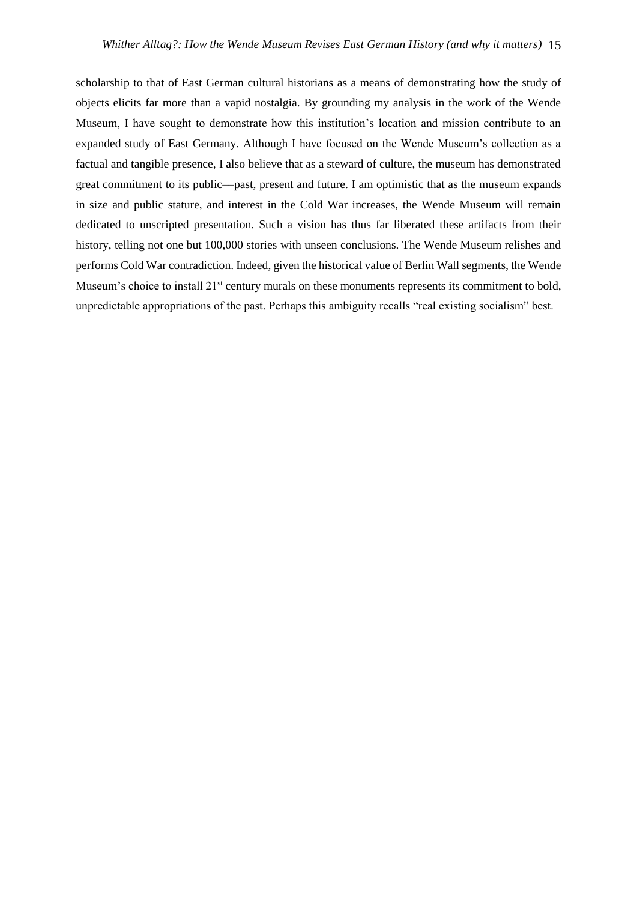scholarship to that of East German cultural historians as a means of demonstrating how the study of objects elicits far more than a vapid nostalgia. By grounding my analysis in the work of the Wende Museum, I have sought to demonstrate how this institution's location and mission contribute to an expanded study of East Germany. Although I have focused on the Wende Museum's collection as a factual and tangible presence, I also believe that as a steward of culture, the museum has demonstrated great commitment to its public––past, present and future. I am optimistic that as the museum expands in size and public stature, and interest in the Cold War increases, the Wende Museum will remain dedicated to unscripted presentation. Such a vision has thus far liberated these artifacts from their history, telling not one but 100,000 stories with unseen conclusions. The Wende Museum relishes and performs Cold War contradiction. Indeed, given the historical value of Berlin Wall segments, the Wende Museum's choice to install 21<sup>st</sup> century murals on these monuments represents its commitment to bold, unpredictable appropriations of the past. Perhaps this ambiguity recalls "real existing socialism" best.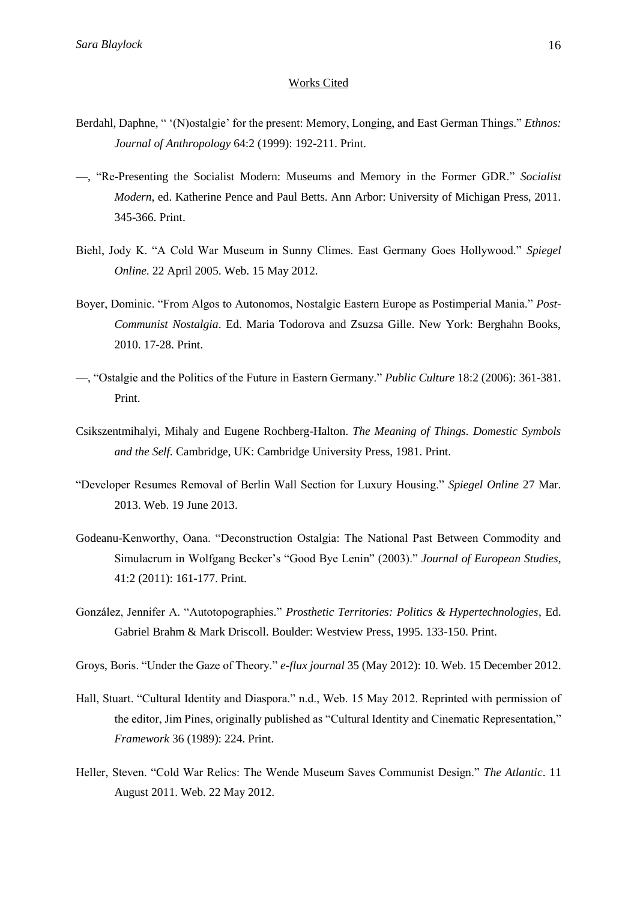### Works Cited

- Berdahl, Daphne, " '(N)ostalgie' for the present: Memory, Longing, and East German Things." *Ethnos: Journal of Anthropology* 64:2 (1999): 192-211. Print.
- —, "Re-Presenting the Socialist Modern: Museums and Memory in the Former GDR." *Socialist Modern*, ed. Katherine Pence and Paul Betts. Ann Arbor: University of Michigan Press, 2011. 345-366. Print.
- Biehl, Jody K. "A Cold War Museum in Sunny Climes. East Germany Goes Hollywood." *Spiegel Online*. 22 April 2005. Web. 15 May 2012.
- Boyer, Dominic. "From Algos to Autonomos, Nostalgic Eastern Europe as Postimperial Mania." *Post-Communist Nostalgia*. Ed. Maria Todorova and Zsuzsa Gille. New York: Berghahn Books, 2010. 17-28. Print.
- —, "Ostalgie and the Politics of the Future in Eastern Germany." *Public Culture* 18:2 (2006): 361-381. Print.
- Csikszentmihalyi, Mihaly and Eugene Rochberg-Halton. *The Meaning of Things. Domestic Symbols and the Self.* Cambridge, UK: Cambridge University Press, 1981. Print.
- "Developer Resumes Removal of Berlin Wall Section for Luxury Housing." *Spiegel Online* 27 Mar. 2013. Web. 19 June 2013.
- Godeanu-Kenworthy, Oana. "Deconstruction Ostalgia: The National Past Between Commodity and Simulacrum in Wolfgang Becker's "Good Bye Lenin" (2003)." *Journal of European Studies*, 41:2 (2011): 161-177. Print.
- González, Jennifer A. "Autotopographies." *Prosthetic Territories: Politics & Hypertechnologies*, Ed. Gabriel Brahm & Mark Driscoll. Boulder: Westview Press, 1995. 133-150. Print.

Groys, Boris. "Under the Gaze of Theory." *e-flux journal* 35 (May 2012): 10. Web. 15 December 2012.

- Hall, Stuart. "Cultural Identity and Diaspora." n.d., Web. 15 May 2012. Reprinted with permission of the editor, Jim Pines, originally published as "Cultural Identity and Cinematic Representation," *Framework* 36 (1989): 224. Print.
- Heller, Steven. "Cold War Relics: The Wende Museum Saves Communist Design." *The Atlantic*. 11 August 2011. Web. 22 May 2012.